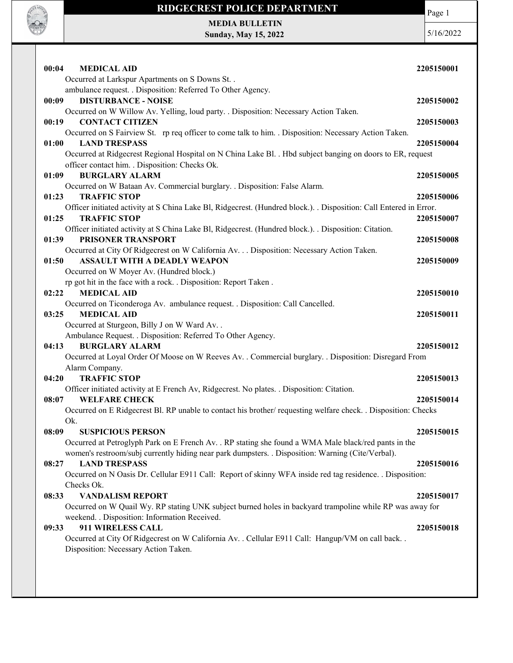

## RIDGECREST POLICE DEPARTMENT

Page 1

MEDIA BULLETIN Sunday, May 15, 2022

5/16/2022

| 00:04<br><b>MEDICAL AID</b>                                                                                                                | 2205150001 |
|--------------------------------------------------------------------------------------------------------------------------------------------|------------|
| Occurred at Larkspur Apartments on S Downs St. .                                                                                           |            |
| ambulance request. . Disposition: Referred To Other Agency.                                                                                |            |
| <b>DISTURBANCE - NOISE</b><br>00:09                                                                                                        | 2205150002 |
| Occurred on W Willow Av. Yelling, loud party. . Disposition: Necessary Action Taken.                                                       |            |
| 00:19<br><b>CONTACT CITIZEN</b>                                                                                                            | 2205150003 |
| Occurred on S Fairview St. rp req officer to come talk to him. Disposition: Necessary Action Taken.                                        |            |
| <b>LAND TRESPASS</b><br>01:00                                                                                                              | 2205150004 |
| Occurred at Ridgecrest Regional Hospital on N China Lake Bl. . Hbd subject banging on doors to ER, request                                 |            |
| officer contact him. . Disposition: Checks Ok.<br><b>BURGLARY ALARM</b><br>01:09                                                           | 2205150005 |
| Occurred on W Bataan Av. Commercial burglary. . Disposition: False Alarm.                                                                  |            |
| <b>TRAFFIC STOP</b><br>01:23                                                                                                               | 2205150006 |
| Officer initiated activity at S China Lake Bl, Ridgecrest. (Hundred block.). . Disposition: Call Entered in Error.                         |            |
| 01:25<br><b>TRAFFIC STOP</b>                                                                                                               | 2205150007 |
| Officer initiated activity at S China Lake Bl, Ridgecrest. (Hundred block.). Disposition: Citation.                                        |            |
| 01:39<br>PRISONER TRANSPORT                                                                                                                | 2205150008 |
| Occurred at City Of Ridgecrest on W California Av. Disposition: Necessary Action Taken.                                                    |            |
| <b>ASSAULT WITH A DEADLY WEAPON</b><br>01:50                                                                                               | 2205150009 |
| Occurred on W Moyer Av. (Hundred block.)                                                                                                   |            |
| rp got hit in the face with a rock. . Disposition: Report Taken.                                                                           |            |
| <b>MEDICAL AID</b><br>02:22                                                                                                                | 2205150010 |
| Occurred on Ticonderoga Av. ambulance request. . Disposition: Call Cancelled.                                                              |            |
| <b>MEDICAL AID</b><br>03:25                                                                                                                | 2205150011 |
| Occurred at Sturgeon, Billy J on W Ward Av. .                                                                                              |            |
| Ambulance Request. . Disposition: Referred To Other Agency.                                                                                |            |
| <b>BURGLARY ALARM</b><br>04:13                                                                                                             | 2205150012 |
| Occurred at Loyal Order Of Moose on W Reeves Av. . Commercial burglary. . Disposition: Disregard From<br>Alarm Company.                    |            |
| <b>TRAFFIC STOP</b><br>04:20                                                                                                               | 2205150013 |
| Officer initiated activity at E French Av, Ridgecrest. No plates. . Disposition: Citation.                                                 |            |
| <b>WELFARE CHECK</b><br>08:07                                                                                                              | 2205150014 |
| Occurred on E Ridgecrest Bl. RP unable to contact his brother/ requesting welfare check. . Disposition: Checks                             |            |
| Ok.                                                                                                                                        |            |
| <b>SUSPICIOUS PERSON</b><br>08:09                                                                                                          | 2205150015 |
| Occurred at Petroglyph Park on E French Av. . RP stating she found a WMA Male black/red pants in the                                       |            |
| women's restroom/subj currently hiding near park dumpsters. . Disposition: Warning (Cite/Verbal).                                          |            |
| <b>LAND TRESPASS</b><br>08:27                                                                                                              | 2205150016 |
| Occurred on N Oasis Dr. Cellular E911 Call: Report of skinny WFA inside red tag residence. . Disposition:                                  |            |
| Checks Ok.                                                                                                                                 |            |
| <b>VANDALISM REPORT</b><br>08:33                                                                                                           | 2205150017 |
| Occurred on W Quail Wy. RP stating UNK subject burned holes in backyard trampoline while RP was away for                                   |            |
| weekend. . Disposition: Information Received.                                                                                              |            |
| 911 WIRELESS CALL<br>09:33                                                                                                                 | 2205150018 |
| Occurred at City Of Ridgecrest on W California Av. . Cellular E911 Call: Hangup/VM on call back. .<br>Disposition: Necessary Action Taken. |            |
|                                                                                                                                            |            |
|                                                                                                                                            |            |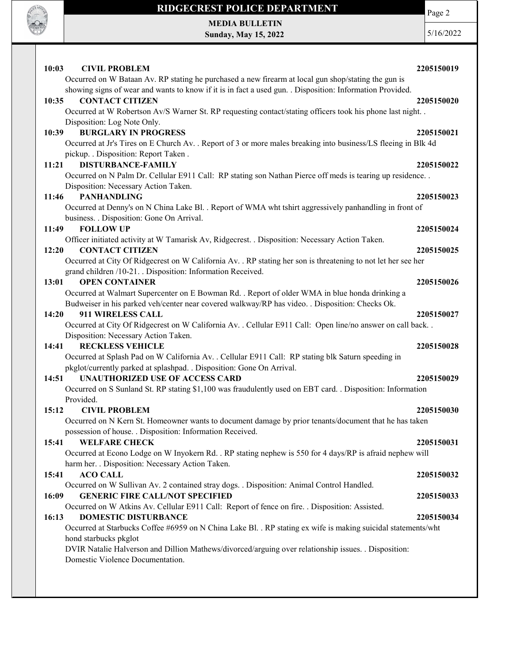

## RIDGECREST POLICE DEPARTMENT MEDIA BULLETIN

Sunday, May 15, 2022

Page 2

5/16/2022

| 10:03<br><b>CIVIL PROBLEM</b><br>Occurred on W Bataan Av. RP stating he purchased a new firearm at local gun shop/stating the gun is     | 2205150019 |
|------------------------------------------------------------------------------------------------------------------------------------------|------------|
| showing signs of wear and wants to know if it is in fact a used gun. . Disposition: Information Provided.                                |            |
| <b>CONTACT CITIZEN</b><br>10:35                                                                                                          | 2205150020 |
| Occurred at W Robertson Av/S Warner St. RP requesting contact/stating officers took his phone last night. .                              |            |
| Disposition: Log Note Only.                                                                                                              |            |
| <b>BURGLARY IN PROGRESS</b><br>10:39                                                                                                     | 2205150021 |
| Occurred at Jr's Tires on E Church Av. . Report of 3 or more males breaking into business/LS fleeing in Blk 4d                           |            |
| pickup. . Disposition: Report Taken.<br><b>DISTURBANCE-FAMILY</b><br>11:21                                                               | 2205150022 |
| Occurred on N Palm Dr. Cellular E911 Call: RP stating son Nathan Pierce off meds is tearing up residence                                 |            |
| Disposition: Necessary Action Taken.                                                                                                     |            |
| 11:46<br><b>PANHANDLING</b>                                                                                                              | 2205150023 |
| Occurred at Denny's on N China Lake Bl. . Report of WMA wht tshirt aggressively panhandling in front of                                  |            |
| business. . Disposition: Gone On Arrival.                                                                                                |            |
| 11:49<br><b>FOLLOW UP</b>                                                                                                                | 2205150024 |
| Officer initiated activity at W Tamarisk Av, Ridgecrest. . Disposition: Necessary Action Taken.                                          |            |
| <b>CONTACT CITIZEN</b><br>12:20                                                                                                          | 2205150025 |
| Occurred at City Of Ridgecrest on W California Av. . RP stating her son is threatening to not let her see her                            |            |
| grand children /10-21. . Disposition: Information Received.                                                                              |            |
| <b>OPEN CONTAINER</b><br>13:01<br>Occurred at Walmart Supercenter on E Bowman Rd. . Report of older WMA in blue honda drinking a         | 2205150026 |
| Budweiser in his parked veh/center near covered walkway/RP has video. . Disposition: Checks Ok.                                          |            |
| 14:20<br><b>911 WIRELESS CALL</b>                                                                                                        | 2205150027 |
| Occurred at City Of Ridgecrest on W California Av. . Cellular E911 Call: Open line/no answer on call back. .                             |            |
| Disposition: Necessary Action Taken.                                                                                                     |            |
| <b>RECKLESS VEHICLE</b><br>14:41                                                                                                         | 2205150028 |
| Occurred at Splash Pad on W California Av. . Cellular E911 Call: RP stating blk Saturn speeding in                                       |            |
| pkglot/currently parked at splashpad. . Disposition: Gone On Arrival.                                                                    |            |
| <b>UNAUTHORIZED USE OF ACCESS CARD</b><br>14:51                                                                                          | 2205150029 |
| Occurred on S Sunland St. RP stating \$1,100 was fraudulently used on EBT card. . Disposition: Information                               |            |
| Provided.                                                                                                                                |            |
| 15:12<br><b>CIVIL PROBLEM</b>                                                                                                            | 2205150030 |
| Occurred on N Kern St. Homeowner wants to document damage by prior tenants/document that he has taken                                    |            |
| possession of house. . Disposition: Information Received.<br><b>WELFARE CHECK</b><br>15:41                                               | 2205150031 |
| Occurred at Econo Lodge on W Inyokern Rd. . RP stating nephew is 550 for 4 days/RP is afraid nephew will                                 |            |
| harm her. . Disposition: Necessary Action Taken.                                                                                         |            |
| 15:41<br><b>ACO CALL</b>                                                                                                                 | 2205150032 |
| Occurred on W Sullivan Av. 2 contained stray dogs. . Disposition: Animal Control Handled.                                                |            |
| <b>GENERIC FIRE CALL/NOT SPECIFIED</b><br>16:09                                                                                          | 2205150033 |
| Occurred on W Atkins Av. Cellular E911 Call: Report of fence on fire. . Disposition: Assisted.                                           |            |
| <b>DOMESTIC DISTURBANCE</b><br>16:13                                                                                                     | 2205150034 |
| Occurred at Starbucks Coffee #6959 on N China Lake Bl. . RP stating ex wife is making suicidal statements/wht                            |            |
| hond starbucks pkglot                                                                                                                    |            |
| DVIR Natalie Halverson and Dillion Mathews/divorced/arguing over relationship issues. . Disposition:<br>Domestic Violence Documentation. |            |
|                                                                                                                                          |            |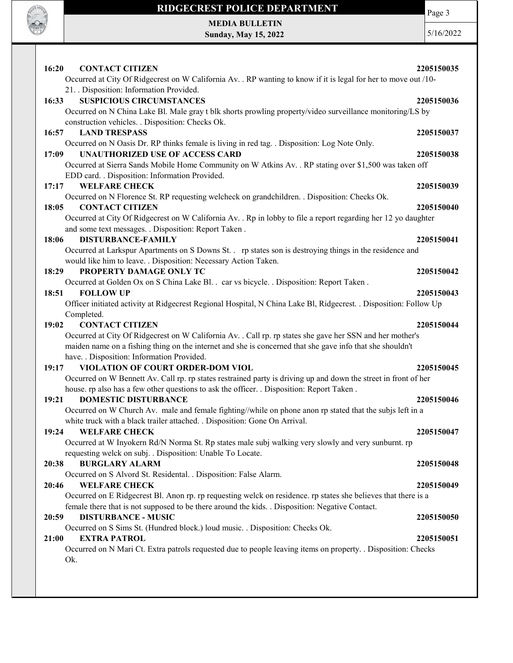

## RIDGECREST POLICE DEPARTMENT MEDIA BULLETIN

Sunday, May 15, 2022

Page 3

5/16/2022

16:20 CONTACT CITIZEN 2205150035 Occurred at City Of Ridgecrest on W California Av. . RP wanting to know if it is legal for her to move out /10- 21. . Disposition: Information Provided. 16:33 SUSPICIOUS CIRCUMSTANCES 2205150036 Occurred on N China Lake Bl. Male gray t blk shorts prowling property/video surveillance monitoring/LS by construction vehicles. . Disposition: Checks Ok. 16:57 LAND TRESPASS 2205150037 Occurred on N Oasis Dr. RP thinks female is living in red tag. . Disposition: Log Note Only. 17:09 UNAUTHORIZED USE OF ACCESS CARD 2205150038 Occurred at Sierra Sands Mobile Home Community on W Atkins Av. . RP stating over \$1,500 was taken off EDD card. . Disposition: Information Provided. 17:17 WELFARE CHECK 2205150039 Occurred on N Florence St. RP requesting welcheck on grandchildren. . Disposition: Checks Ok. 18:05 CONTACT CITIZEN 2205150040 Occurred at City Of Ridgecrest on W California Av. . Rp in lobby to file a report regarding her 12 yo daughter and some text messages. . Disposition: Report Taken . 18:06 DISTURBANCE-FAMILY 2205150041 Occurred at Larkspur Apartments on S Downs St. . rp states son is destroying things in the residence and would like him to leave. . Disposition: Necessary Action Taken. 18:29 PROPERTY DAMAGE ONLY TC 2205150042 Occurred at Golden Ox on S China Lake Bl. . car vs bicycle. . Disposition: Report Taken . 18:51 FOLLOW UP 2205150043 Officer initiated activity at Ridgecrest Regional Hospital, N China Lake Bl, Ridgecrest. . Disposition: Follow Up Completed. 19:02 CONTACT CITIZEN 2205150044 Occurred at City Of Ridgecrest on W California Av. . Call rp. rp states she gave her SSN and her mother's maiden name on a fishing thing on the internet and she is concerned that she gave info that she shouldn't have. . Disposition: Information Provided. 19:17 VIOLATION OF COURT ORDER-DOM VIOL 2205150045 Occurred on W Bennett Av. Call rp. rp states restrained party is driving up and down the street in front of her house. rp also has a few other questions to ask the officer. . Disposition: Report Taken . 19:21 DOMESTIC DISTURBANCE 2205150046 Occurred on W Church Av. male and female fighting//while on phone anon rp stated that the subjs left in a white truck with a black trailer attached. . Disposition: Gone On Arrival. 19:24 WELFARE CHECK 2205150047 Occurred at W Inyokern Rd/N Norma St. Rp states male subj walking very slowly and very sunburnt. rp requesting welck on subj. . Disposition: Unable To Locate. 20:38 BURGLARY ALARM 2205150048 Occurred on S Alvord St. Residental. . Disposition: False Alarm. 20:46 WELFARE CHECK 2205150049 Occurred on E Ridgecrest Bl. Anon rp. rp requesting welck on residence. rp states she believes that there is a female there that is not supposed to be there around the kids. . Disposition: Negative Contact. 20:59 DISTURBANCE - MUSIC 2205150050 Occurred on S Sims St. (Hundred block.) loud music. . Disposition: Checks Ok. 21:00 EXTRA PATROL 2205150051 Occurred on N Mari Ct. Extra patrols requested due to people leaving items on property. . Disposition: Checks Ok.